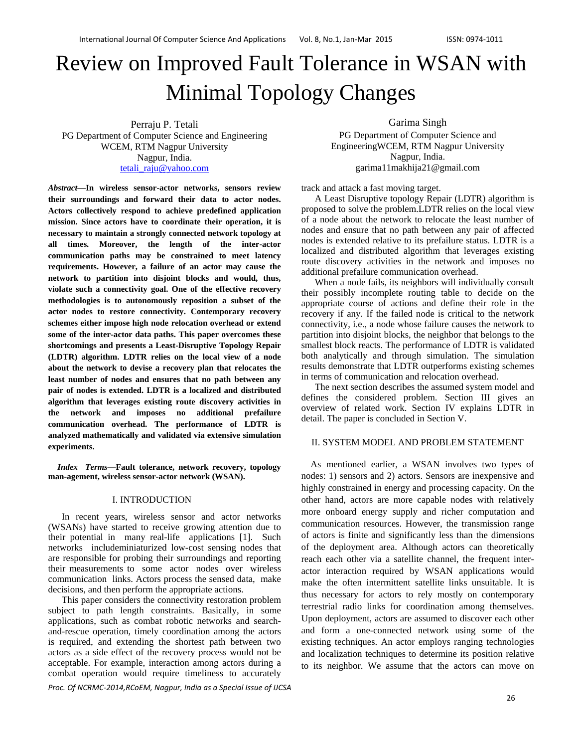# Review on Improved Fault Tolerance in WSAN with Minimal Topology Changes

Perraju P. Tetali PG Department of Computer Science and Engineering WCEM, RTM Nagpur University Nagpur, India. tetali\_raju@yahoo.com

*Abstract***—In wireless sensor-actor networks, sensors review their surroundings and forward their data to actor nodes. Actors collectively respond to achieve predefined application mission. Since actors have to coordinate their operation, it is necessary to maintain a strongly connected network topology at all times. Moreover, the length of the inter-actor communication paths may be constrained to meet latency requirements. However, a failure of an actor may cause the network to partition into disjoint blocks and would, thus, violate such a connectivity goal. One of the effective recovery methodologies is to autonomously reposition a subset of the actor nodes to restore connectivity. Contemporary recovery schemes either impose high node relocation overhead or extend some of the inter-actor data paths. This paper overcomes these shortcomings and presents a Least-Disruptive Topology Repair (LDTR) algorithm. LDTR relies on the local view of a node about the network to devise a recovery plan that relocates the least number of nodes and ensures that no path between any pair of nodes is extended. LDTR is a localized and distributed algorithm that leverages existing route discovery activities in the network and imposes no additional prefailure communication overhead. The performance of LDTR is analyzed mathematically and validated via extensive simulation experiments.** 

*Index Terms***—Fault tolerance, network recovery, topology man-agement, wireless sensor-actor network (WSAN).**

## I. INTRODUCTION

In recent years, wireless sensor and actor networks (WSANs) have started to receive growing attention due to their potential in many real-life applications [1]. Such networks includeminiaturized low-cost sensing nodes that are responsible for probing their surroundings and reporting their measurements to some actor nodes over wireless communication links. Actors process the sensed data, make decisions, and then perform the appropriate actions.

This paper considers the connectivity restoration problem subject to path length constraints. Basically, in some applications, such as combat robotic networks and searchand-rescue operation, timely coordination among the actors is required, and extending the shortest path between two actors as a side effect of the recovery process would not be acceptable. For example, interaction among actors during a combat operation would require timeliness to accurately

*Proc. Of NCRMC‐2014,RCoEM, Nagpur, India as a Special Issue of IJCSA*

Garima Singh PG Department of Computer Science and EngineeringWCEM, RTM Nagpur University Nagpur, India.

garima11makhija21@gmail.com

track and attack a fast moving target.

A Least Disruptive topology Repair (LDTR) algorithm is proposed to solve the problem.LDTR relies on the local view of a node about the network to relocate the least number of nodes and ensure that no path between any pair of affected nodes is extended relative to its prefailure status. LDTR is a localized and distributed algorithm that leverages existing route discovery activities in the network and imposes no additional prefailure communication overhead.

When a node fails, its neighbors will individually consult their possibly incomplete routing table to decide on the appropriate course of actions and define their role in the recovery if any. If the failed node is critical to the network connectivity, i.e., a node whose failure causes the network to partition into disjoint blocks, the neighbor that belongs to the smallest block reacts. The performance of LDTR is validated both analytically and through simulation. The simulation results demonstrate that LDTR outperforms existing schemes in terms of communication and relocation overhead.

The next section describes the assumed system model and defines the considered problem. Section III gives an overview of related work. Section IV explains LDTR in detail. The paper is concluded in Section V.

#### II. SYSTEM MODEL AND PROBLEM STATEMENT

As mentioned earlier, a WSAN involves two types of nodes: 1) sensors and 2) actors. Sensors are inexpensive and highly constrained in energy and processing capacity. On the other hand, actors are more capable nodes with relatively more onboard energy supply and richer computation and communication resources. However, the transmission range of actors is finite and significantly less than the dimensions of the deployment area. Although actors can theoretically reach each other via a satellite channel, the frequent interactor interaction required by WSAN applications would make the often intermittent satellite links unsuitable. It is thus necessary for actors to rely mostly on contemporary terrestrial radio links for coordination among themselves. Upon deployment, actors are assumed to discover each other and form a one-connected network using some of the existing techniques. An actor employs ranging technologies and localization techniques to determine its position relative to its neighbor. We assume that the actors can move on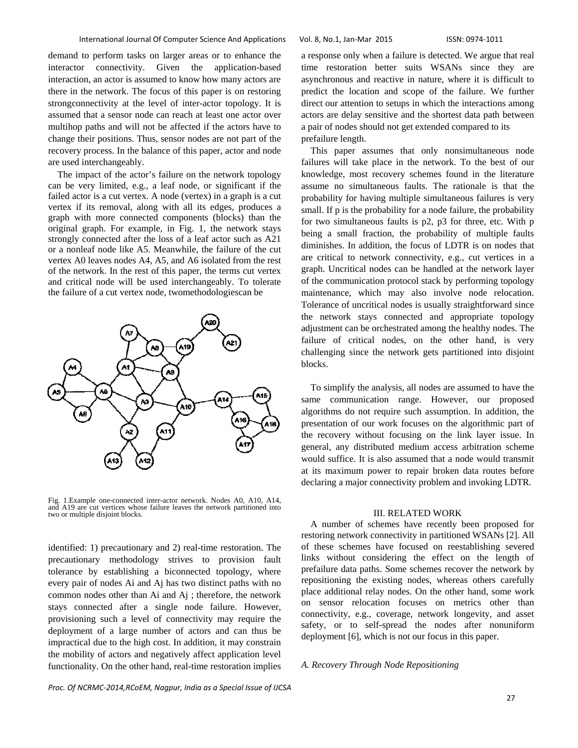demand to perform tasks on larger areas or to enhance the interactor connectivity. Given the application-based interaction, an actor is assumed to know how many actors are there in the network. The focus of this paper is on restoring strongconnectivity at the level of inter-actor topology. It is assumed that a sensor node can reach at least one actor over multihop paths and will not be affected if the actors have to change their positions. Thus, sensor nodes are not part of the recovery process. In the balance of this paper, actor and node are used interchangeably.

The impact of the actor's failure on the network topology can be very limited, e.g., a leaf node, or significant if the failed actor is a cut vertex. A node (vertex) in a graph is a cut vertex if its removal, along with all its edges, produces a graph with more connected components (blocks) than the original graph. For example, in Fig. 1, the network stays strongly connected after the loss of a leaf actor such as A21 or a nonleaf node like A5. Meanwhile, the failure of the cut vertex A0 leaves nodes A4, A5, and A6 isolated from the rest of the network. In the rest of this paper, the terms cut vertex and critical node will be used interchangeably. To tolerate the failure of a cut vertex node, twomethodologiescan be



Fig. 1.Example one-connected inter-actor network. Nodes A0, A10, A14, and A19 are cut vertices whose failure leaves the network partitioned into two or multiple disjoint blocks.

identified: 1) precautionary and 2) real-time restoration. The precautionary methodology strives to provision fault tolerance by establishing a biconnected topology, where every pair of nodes Ai and Aj has two distinct paths with no common nodes other than Ai and Aj ; therefore, the network stays connected after a single node failure. However, provisioning such a level of connectivity may require the deployment of a large number of actors and can thus be impractical due to the high cost. In addition, it may constrain the mobility of actors and negatively affect application level functionality. On the other hand, real-time restoration implies

a response only when a failure is detected. We argue that real time restoration better suits WSANs since they are asynchronous and reactive in nature, where it is difficult to predict the location and scope of the failure. We further direct our attention to setups in which the interactions among actors are delay sensitive and the shortest data path between a pair of nodes should not get extended compared to its prefailure length.

This paper assumes that only nonsimultaneous node failures will take place in the network. To the best of our knowledge, most recovery schemes found in the literature assume no simultaneous faults. The rationale is that the probability for having multiple simultaneous failures is very small. If p is the probability for a node failure, the probability for two simultaneous faults is p2, p3 for three, etc. With p being a small fraction, the probability of multiple faults diminishes. In addition, the focus of LDTR is on nodes that are critical to network connectivity, e.g., cut vertices in a graph. Uncritical nodes can be handled at the network layer of the communication protocol stack by performing topology maintenance, which may also involve node relocation. Tolerance of uncritical nodes is usually straightforward since the network stays connected and appropriate topology adjustment can be orchestrated among the healthy nodes. The failure of critical nodes, on the other hand, is very challenging since the network gets partitioned into disjoint blocks.

To simplify the analysis, all nodes are assumed to have the same communication range. However, our proposed algorithms do not require such assumption. In addition, the presentation of our work focuses on the algorithmic part of the recovery without focusing on the link layer issue. In general, any distributed medium access arbitration scheme would suffice. It is also assumed that a node would transmit at its maximum power to repair broken data routes before declaring a major connectivity problem and invoking LDTR.

#### III. RELATED WORK

A number of schemes have recently been proposed for restoring network connectivity in partitioned WSANs [2]. All of these schemes have focused on reestablishing severed links without considering the effect on the length of prefailure data paths. Some schemes recover the network by repositioning the existing nodes, whereas others carefully place additional relay nodes. On the other hand, some work on sensor relocation focuses on metrics other than connectivity, e.g., coverage, network longevity, and asset safety, or to self-spread the nodes after nonuniform deployment [6], which is not our focus in this paper.

#### *A. Recovery Through Node Repositioning*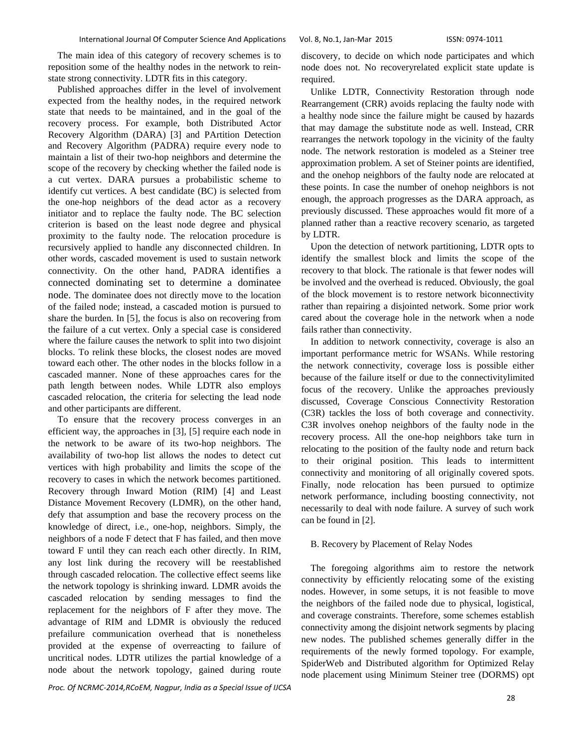The main idea of this category of recovery schemes is to reposition some of the healthy nodes in the network to reinstate strong connectivity. LDTR fits in this category.

Published approaches differ in the level of involvement expected from the healthy nodes, in the required network state that needs to be maintained, and in the goal of the recovery process. For example, both Distributed Actor Recovery Algorithm (DARA) [3] and PArtition Detection and Recovery Algorithm (PADRA) require every node to maintain a list of their two-hop neighbors and determine the scope of the recovery by checking whether the failed node is a cut vertex. DARA pursues a probabilistic scheme to identify cut vertices. A best candidate (BC) is selected from the one-hop neighbors of the dead actor as a recovery initiator and to replace the faulty node. The BC selection criterion is based on the least node degree and physical proximity to the faulty node. The relocation procedure is recursively applied to handle any disconnected children. In other words, cascaded movement is used to sustain network connectivity. On the other hand, PADRA identifies a connected dominating set to determine a dominatee node. The dominatee does not directly move to the location of the failed node; instead, a cascaded motion is pursued to share the burden. In [5], the focus is also on recovering from the failure of a cut vertex. Only a special case is considered where the failure causes the network to split into two disjoint blocks. To relink these blocks, the closest nodes are moved toward each other. The other nodes in the blocks follow in a cascaded manner. None of these approaches cares for the path length between nodes. While LDTR also employs cascaded relocation, the criteria for selecting the lead node and other participants are different.

To ensure that the recovery process converges in an efficient way, the approaches in [3], [5] require each node in the network to be aware of its two-hop neighbors. The availability of two-hop list allows the nodes to detect cut vertices with high probability and limits the scope of the recovery to cases in which the network becomes partitioned. Recovery through Inward Motion (RIM) [4] and Least Distance Movement Recovery (LDMR), on the other hand, defy that assumption and base the recovery process on the knowledge of direct, i.e., one-hop, neighbors. Simply, the neighbors of a node F detect that F has failed, and then move toward F until they can reach each other directly. In RIM, any lost link during the recovery will be reestablished through cascaded relocation. The collective effect seems like the network topology is shrinking inward. LDMR avoids the cascaded relocation by sending messages to find the replacement for the neighbors of F after they move. The advantage of RIM and LDMR is obviously the reduced prefailure communication overhead that is nonetheless provided at the expense of overreacting to failure of uncritical nodes. LDTR utilizes the partial knowledge of a node about the network topology, gained during route

*Proc. Of NCRMC‐2014,RCoEM, Nagpur, India as a Special Issue of IJCSA*

discovery, to decide on which node participates and which node does not. No recoveryrelated explicit state update is required.

Unlike LDTR, Connectivity Restoration through node Rearrangement (CRR) avoids replacing the faulty node with a healthy node since the failure might be caused by hazards that may damage the substitute node as well. Instead, CRR rearranges the network topology in the vicinity of the faulty node. The network restoration is modeled as a Steiner tree approximation problem. A set of Steiner points are identified, and the onehop neighbors of the faulty node are relocated at these points. In case the number of onehop neighbors is not enough, the approach progresses as the DARA approach, as previously discussed. These approaches would fit more of a planned rather than a reactive recovery scenario, as targeted by LDTR.

Upon the detection of network partitioning, LDTR opts to identify the smallest block and limits the scope of the recovery to that block. The rationale is that fewer nodes will be involved and the overhead is reduced. Obviously, the goal of the block movement is to restore network biconnectivity rather than repairing a disjointed network. Some prior work cared about the coverage hole in the network when a node fails rather than connectivity.

In addition to network connectivity, coverage is also an important performance metric for WSANs. While restoring the network connectivity, coverage loss is possible either because of the failure itself or due to the connectivitylimited focus of the recovery. Unlike the approaches previously discussed, Coverage Conscious Connectivity Restoration (C3R) tackles the loss of both coverage and connectivity. C3R involves onehop neighbors of the faulty node in the recovery process. All the one-hop neighbors take turn in relocating to the position of the faulty node and return back to their original position. This leads to intermittent connectivity and monitoring of all originally covered spots. Finally, node relocation has been pursued to optimize network performance, including boosting connectivity, not necessarily to deal with node failure. A survey of such work can be found in [2].

# B. Recovery by Placement of Relay Nodes

The foregoing algorithms aim to restore the network connectivity by efficiently relocating some of the existing nodes. However, in some setups, it is not feasible to move the neighbors of the failed node due to physical, logistical, and coverage constraints. Therefore, some schemes establish connectivity among the disjoint network segments by placing new nodes. The published schemes generally differ in the requirements of the newly formed topology. For example, SpiderWeb and Distributed algorithm for Optimized Relay node placement using Minimum Steiner tree (DORMS) opt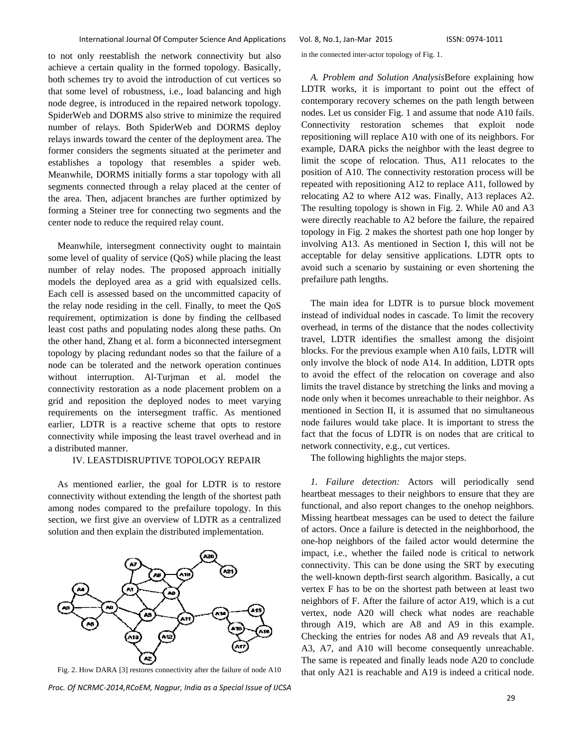to not only reestablish the network connectivity but also achieve a certain quality in the formed topology. Basically, both schemes try to avoid the introduction of cut vertices so that some level of robustness, i.e., load balancing and high node degree, is introduced in the repaired network topology. SpiderWeb and DORMS also strive to minimize the required number of relays. Both SpiderWeb and DORMS deploy relays inwards toward the center of the deployment area. The former considers the segments situated at the perimeter and establishes a topology that resembles a spider web. Meanwhile, DORMS initially forms a star topology with all segments connected through a relay placed at the center of the area. Then, adjacent branches are further optimized by forming a Steiner tree for connecting two segments and the center node to reduce the required relay count.

Meanwhile, intersegment connectivity ought to maintain some level of quality of service (QoS) while placing the least number of relay nodes. The proposed approach initially models the deployed area as a grid with equalsized cells. Each cell is assessed based on the uncommitted capacity of the relay node residing in the cell. Finally, to meet the QoS requirement, optimization is done by finding the cellbased least cost paths and populating nodes along these paths. On the other hand, Zhang et al. form a biconnected intersegment topology by placing redundant nodes so that the failure of a node can be tolerated and the network operation continues without interruption. Al-Turjman et al. model the connectivity restoration as a node placement problem on a grid and reposition the deployed nodes to meet varying requirements on the intersegment traffic. As mentioned earlier, LDTR is a reactive scheme that opts to restore connectivity while imposing the least travel overhead and in a distributed manner.

#### IV. LEASTDISRUPTIVE TOPOLOGY REPAIR

As mentioned earlier, the goal for LDTR is to restore connectivity without extending the length of the shortest path among nodes compared to the prefailure topology. In this section, we first give an overview of LDTR as a centralized solution and then explain the distributed implementation.



Fig. 2. How DARA [3] restores connectivity after the failure of node A10

*Proc. Of NCRMC‐2014,RCoEM, Nagpur, India as a Special Issue of IJCSA*

in the connected inter-actor topology of Fig. 1.

*A. Problem and Solution Analysis*Before explaining how LDTR works, it is important to point out the effect of contemporary recovery schemes on the path length between nodes. Let us consider Fig. 1 and assume that node A10 fails. Connectivity restoration schemes that exploit node repositioning will replace A10 with one of its neighbors. For example, DARA picks the neighbor with the least degree to limit the scope of relocation. Thus, A11 relocates to the position of A10. The connectivity restoration process will be repeated with repositioning A12 to replace A11, followed by relocating A2 to where A12 was. Finally, A13 replaces A2. The resulting topology is shown in Fig. 2. While A0 and A3 were directly reachable to A2 before the failure, the repaired topology in Fig. 2 makes the shortest path one hop longer by involving A13. As mentioned in Section I, this will not be acceptable for delay sensitive applications. LDTR opts to avoid such a scenario by sustaining or even shortening the prefailure path lengths.

The main idea for LDTR is to pursue block movement instead of individual nodes in cascade. To limit the recovery overhead, in terms of the distance that the nodes collectivity travel, LDTR identifies the smallest among the disjoint blocks. For the previous example when A10 fails, LDTR will only involve the block of node A14. In addition, LDTR opts to avoid the effect of the relocation on coverage and also limits the travel distance by stretching the links and moving a node only when it becomes unreachable to their neighbor. As mentioned in Section II, it is assumed that no simultaneous node failures would take place. It is important to stress the fact that the focus of LDTR is on nodes that are critical to network connectivity, e.g., cut vertices.

The following highlights the major steps.

*1. Failure detection:* Actors will periodically send heartbeat messages to their neighbors to ensure that they are functional, and also report changes to the onehop neighbors. Missing heartbeat messages can be used to detect the failure of actors. Once a failure is detected in the neighborhood, the one-hop neighbors of the failed actor would determine the impact, i.e., whether the failed node is critical to network connectivity. This can be done using the SRT by executing the well-known depth-first search algorithm. Basically, a cut vertex F has to be on the shortest path between at least two neighbors of F. After the failure of actor A19, which is a cut vertex, node A20 will check what nodes are reachable through A19, which are A8 and A9 in this example. Checking the entries for nodes A8 and A9 reveals that A1, A3, A7, and A10 will become consequently unreachable. The same is repeated and finally leads node A20 to conclude that only A21 is reachable and A19 is indeed a critical node.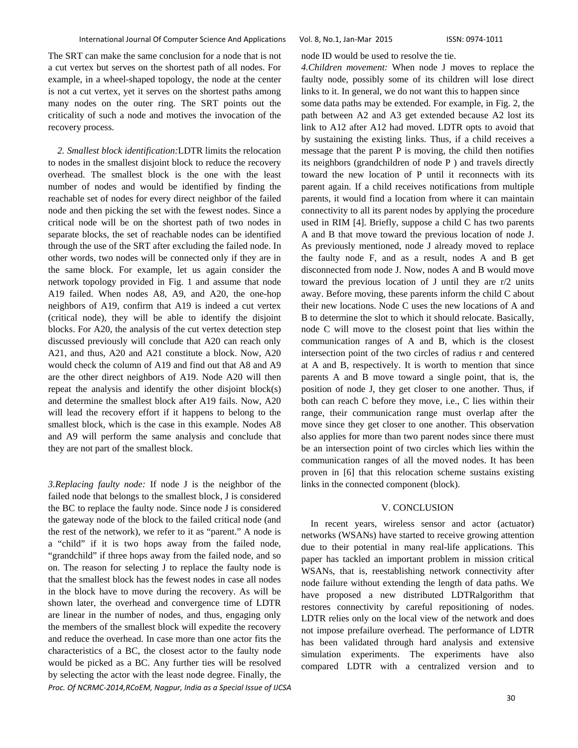The SRT can make the same conclusion for a node that is not a cut vertex but serves on the shortest path of all nodes. For example, in a wheel-shaped topology, the node at the center is not a cut vertex, yet it serves on the shortest paths among many nodes on the outer ring. The SRT points out the criticality of such a node and motives the invocation of the recovery process.

*2. Smallest block identification:*LDTR limits the relocation to nodes in the smallest disjoint block to reduce the recovery overhead. The smallest block is the one with the least number of nodes and would be identified by finding the reachable set of nodes for every direct neighbor of the failed node and then picking the set with the fewest nodes. Since a critical node will be on the shortest path of two nodes in separate blocks, the set of reachable nodes can be identified through the use of the SRT after excluding the failed node. In other words, two nodes will be connected only if they are in the same block. For example, let us again consider the network topology provided in Fig. 1 and assume that node A19 failed. When nodes A8, A9, and A20, the one-hop neighbors of A19, confirm that A19 is indeed a cut vertex (critical node), they will be able to identify the disjoint blocks. For A20, the analysis of the cut vertex detection step discussed previously will conclude that A20 can reach only A21, and thus, A20 and A21 constitute a block. Now, A20 would check the column of A19 and find out that A8 and A9 are the other direct neighbors of A19. Node A20 will then repeat the analysis and identify the other disjoint block(s) and determine the smallest block after A19 fails. Now, A20 will lead the recovery effort if it happens to belong to the smallest block, which is the case in this example. Nodes A8 and A9 will perform the same analysis and conclude that they are not part of the smallest block.

*Proc. Of NCRMC‐2014,RCoEM, Nagpur, India as a Special Issue of IJCSA* <u>30</u> *3.Replacing faulty node:* If node J is the neighbor of the failed node that belongs to the smallest block, J is considered the BC to replace the faulty node. Since node J is considered the gateway node of the block to the failed critical node (and the rest of the network), we refer to it as "parent." A node is a "child" if it is two hops away from the failed node, "grandchild" if three hops away from the failed node, and so on. The reason for selecting J to replace the faulty node is that the smallest block has the fewest nodes in case all nodes in the block have to move during the recovery. As will be shown later, the overhead and convergence time of LDTR are linear in the number of nodes, and thus, engaging only the members of the smallest block will expedite the recovery and reduce the overhead. In case more than one actor fits the characteristics of a BC, the closest actor to the faulty node would be picked as a BC. Any further ties will be resolved by selecting the actor with the least node degree. Finally, the

node ID would be used to resolve the tie.

*4.Children movement:* When node J moves to replace the faulty node, possibly some of its children will lose direct links to it. In general, we do not want this to happen since some data paths may be extended. For example, in Fig. 2, the path between A2 and A3 get extended because A2 lost its link to A12 after A12 had moved. LDTR opts to avoid that by sustaining the existing links. Thus, if a child receives a message that the parent P is moving, the child then notifies its neighbors (grandchildren of node P ) and travels directly toward the new location of P until it reconnects with its parent again. If a child receives notifications from multiple parents, it would find a location from where it can maintain connectivity to all its parent nodes by applying the procedure used in RIM [4]. Briefly, suppose a child C has two parents A and B that move toward the previous location of node J. As previously mentioned, node J already moved to replace the faulty node F, and as a result, nodes A and B get disconnected from node J. Now, nodes A and B would move toward the previous location of J until they are r/2 units away. Before moving, these parents inform the child C about their new locations. Node C uses the new locations of A and B to determine the slot to which it should relocate. Basically, node C will move to the closest point that lies within the communication ranges of A and B, which is the closest intersection point of the two circles of radius r and centered at A and B, respectively. It is worth to mention that since parents A and B move toward a single point, that is, the position of node J, they get closer to one another. Thus, if both can reach C before they move, i.e., C lies within their range, their communication range must overlap after the move since they get closer to one another. This observation also applies for more than two parent nodes since there must be an intersection point of two circles which lies within the communication ranges of all the moved nodes. It has been proven in [6] that this relocation scheme sustains existing links in the connected component (block).

#### V. CONCLUSION

In recent years, wireless sensor and actor (actuator) networks (WSANs) have started to receive growing attention due to their potential in many real-life applications. This paper has tackled an important problem in mission critical WSANs, that is, reestablishing network connectivity after node failure without extending the length of data paths. We have proposed a new distributed LDTRalgorithm that restores connectivity by careful repositioning of nodes. LDTR relies only on the local view of the network and does not impose prefailure overhead. The performance of LDTR has been validated through hard analysis and extensive simulation experiments. The experiments have also compared LDTR with a centralized version and to